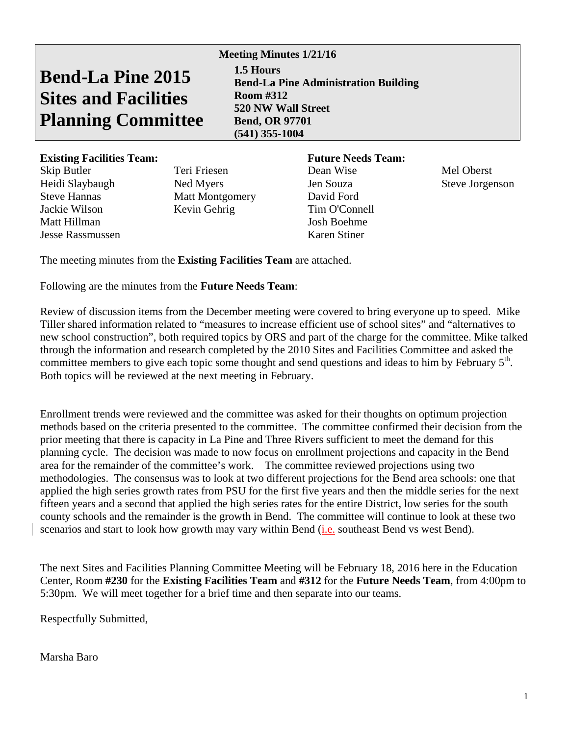## **Bend-La Pine 2015 Sites and Facilities Planning Committee**

**Meeting Minutes 1/21/16 1.5 Hours Bend-La Pine Administration Building Room #312 520 NW Wall Street Bend, OR 97701 (541) 355-1004** 

## **Existing Facilities Team:** Future Needs Team:

| Skip Butler             | Teri Friesen           | Dean Wise     | Mel Oberst  |
|-------------------------|------------------------|---------------|-------------|
| Heidi Slaybaugh         | Ned Myers              | Jen Souza     | Steve Jorge |
| <b>Steve Hannas</b>     | <b>Matt Montgomery</b> | David Ford    |             |
| Jackie Wilson           | Kevin Gehrig           | Tim O'Connell |             |
| Matt Hillman            |                        | Josh Boehme   |             |
| <b>Jesse Rassmussen</b> |                        | Karen Stiner  |             |

Jen Souza Steve Jorgenson

The meeting minutes from the **Existing Facilities Team** are attached.

Following are the minutes from the **Future Needs Team**:

Review of discussion items from the December meeting were covered to bring everyone up to speed. Mike Tiller shared information related to "measures to increase efficient use of school sites" and "alternatives to new school construction", both required topics by ORS and part of the charge for the committee. Mike talked through the information and research completed by the 2010 Sites and Facilities Committee and asked the committee members to give each topic some thought and send questions and ideas to him by February  $5<sup>th</sup>$ . Both topics will be reviewed at the next meeting in February.

Enrollment trends were reviewed and the committee was asked for their thoughts on optimum projection methods based on the criteria presented to the committee. The committee confirmed their decision from the prior meeting that there is capacity in La Pine and Three Rivers sufficient to meet the demand for this planning cycle. The decision was made to now focus on enrollment projections and capacity in the Bend area for the remainder of the committee's work. The committee reviewed projections using two methodologies. The consensus was to look at two different projections for the Bend area schools: one that applied the high series growth rates from PSU for the first five years and then the middle series for the next fifteen years and a second that applied the high series rates for the entire District, low series for the south county schools and the remainder is the growth in Bend. The committee will continue to look at these two scenarios and start to look how growth may vary within Bend (*i.e.* southeast Bend vs west Bend).

The next Sites and Facilities Planning Committee Meeting will be February 18, 2016 here in the Education Center, Room **#230** for the **Existing Facilities Team** and **#312** for the **Future Needs Team**, from 4:00pm to 5:30pm. We will meet together for a brief time and then separate into our teams.

Respectfully Submitted,

Marsha Baro